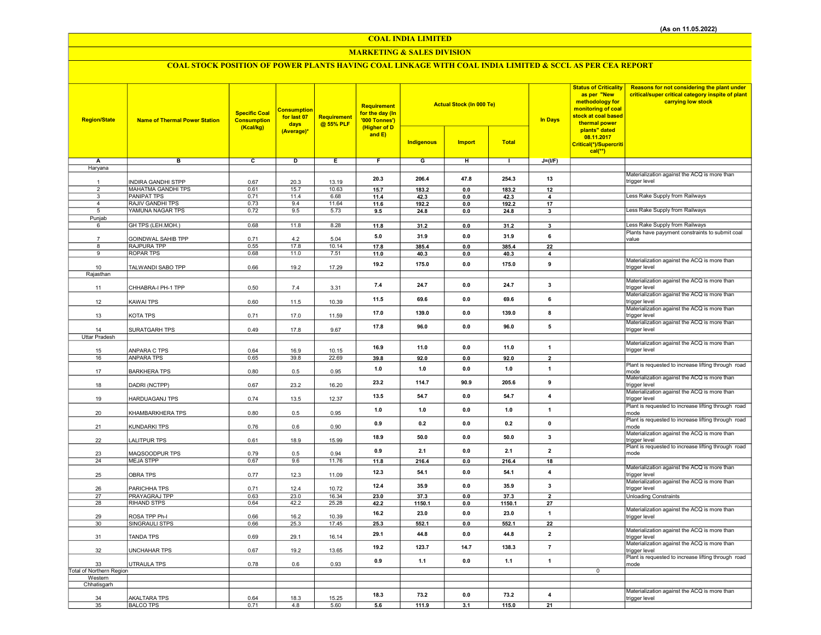## COAL INDIA LIMITED

## MARKETING & SALES DIVISION

# COAL STOCK POSITION OF POWER PLANTS HAVING COAL LINKAGE WITH COAL INDIA LIMITED & SCCL AS PER CEA REPORT

| <b>Region/State</b>      | <b>Name of Thermal Power Station</b> | <b>Specific Coal</b><br><b>Consumption</b><br>(Kcal/kg) | <b>Consumption</b><br>for last 07<br>days<br>(Average)* | <b>Requirement</b><br>@ 55% PLF | Requirement<br>for the day (In<br>'000 Tonnes')<br>(Higher of D<br>and $E$ ) | <b>Actual Stock (In 000 Te)</b><br><b>Indigenous</b><br><b>Total</b><br><b>Import</b> |                |                | <b>In Days</b>          | <b>Status of Criticality</b><br>as per "New<br>methodology for<br>monitoring of coal<br>stock at coal based<br>thermal power<br>plants" dated<br>08.11.2017<br>Critical(*)/Supercriti<br>$cal$ <sup>**</sup> ) | Reasons for not considering the plant under<br>critical/super critical category inspite of plant<br>carrying low stock |
|--------------------------|--------------------------------------|---------------------------------------------------------|---------------------------------------------------------|---------------------------------|------------------------------------------------------------------------------|---------------------------------------------------------------------------------------|----------------|----------------|-------------------------|----------------------------------------------------------------------------------------------------------------------------------------------------------------------------------------------------------------|------------------------------------------------------------------------------------------------------------------------|
| Α                        | в                                    | $\overline{c}$                                          | Þ                                                       | Ε                               | F                                                                            | G                                                                                     | Ξ              | $\blacksquare$ | $J=(VF)$                |                                                                                                                                                                                                                |                                                                                                                        |
| Haryana                  |                                      |                                                         |                                                         |                                 |                                                                              |                                                                                       |                |                |                         |                                                                                                                                                                                                                |                                                                                                                        |
|                          |                                      |                                                         |                                                         |                                 |                                                                              |                                                                                       |                |                |                         |                                                                                                                                                                                                                | Materialization against the ACQ is more than                                                                           |
| 1                        | <b>INDIRA GANDHI STPP</b>            | 0.67                                                    | 20.3                                                    | 13.19                           | 20.3                                                                         | 206.4                                                                                 | 47.8           | 254.3          | 13                      |                                                                                                                                                                                                                | trigger level                                                                                                          |
| $\overline{2}$           | <b>MAHATMA GANDHI TPS</b>            | 0.61                                                    | 15.7                                                    | 10.63                           | 15.7                                                                         | 183.2                                                                                 | 0.0            | 183.2          | 12                      |                                                                                                                                                                                                                |                                                                                                                        |
| 3                        | <b>PANIPAT TPS</b>                   | 0.71                                                    | 11.4                                                    | 6.68                            | 11.4                                                                         | 42.3                                                                                  | 0.0            | 42.3           | $\overline{\mathbf{4}}$ |                                                                                                                                                                                                                | Less Rake Supply from Railways                                                                                         |
| $\overline{a}$           | RAJIV GANDHI TPS                     | 0.73                                                    | 9.4                                                     | 11.64                           | 11.6                                                                         | 192.2                                                                                 | 0.0            | 192.2          | 17                      |                                                                                                                                                                                                                |                                                                                                                        |
| 5                        | YAMUNA NAGAR TPS                     | 0.72                                                    | 9.5                                                     | 5.73                            | 9.5                                                                          | 24.8                                                                                  | 0.0            | 24.8           | 3                       |                                                                                                                                                                                                                | Less Rake Supply from Railways                                                                                         |
| Punjab                   |                                      |                                                         |                                                         |                                 |                                                                              |                                                                                       |                |                |                         |                                                                                                                                                                                                                |                                                                                                                        |
| 6                        | GH TPS (LEH.MOH.)                    | 0.68                                                    | 11.8                                                    | 8.28                            | 11.8                                                                         | 31.2                                                                                  | $\mathbf{0.0}$ | 31.2           | $\overline{\mathbf{3}}$ |                                                                                                                                                                                                                | Less Rake Supply from Railways                                                                                         |
|                          | GOINDWAL SAHIB TPP                   | 0.71                                                    | 4.2                                                     | 5.04                            | 5.0                                                                          | 31.9                                                                                  | 0.0            | 31.9           | 6                       |                                                                                                                                                                                                                | Plants have payyment constraints to submit coal<br>value                                                               |
| 8                        | RAJPURA TPP                          | 0.55                                                    | 17.8                                                    | 10.14                           | 17.8                                                                         | 385.4                                                                                 | 0.0            | 385.4          | 22                      |                                                                                                                                                                                                                |                                                                                                                        |
| 9                        | <b>ROPAR TPS</b>                     | 0.68                                                    | 11.0                                                    | 7.51                            | 11.0                                                                         | 40.3                                                                                  | 0.0            | 40.3           | $\overline{4}$          |                                                                                                                                                                                                                |                                                                                                                        |
|                          |                                      |                                                         |                                                         |                                 |                                                                              |                                                                                       |                |                |                         |                                                                                                                                                                                                                | Materialization against the ACQ is more than                                                                           |
| 10                       | TALWANDI SABO TPP                    | 0.66                                                    | 19.2                                                    | 17.29                           | 19.2                                                                         | 175.0                                                                                 | 0.0            | 175.0          | 9                       |                                                                                                                                                                                                                | trigger level                                                                                                          |
| Rajasthan                |                                      |                                                         |                                                         |                                 |                                                                              |                                                                                       |                |                |                         |                                                                                                                                                                                                                |                                                                                                                        |
|                          |                                      |                                                         |                                                         |                                 | 7.4                                                                          | 24.7                                                                                  | 0.0            | 24.7           | 3                       |                                                                                                                                                                                                                | Materialization against the ACQ is more than                                                                           |
| 11                       | CHHABRA-I PH-1 TPP                   | 0.50                                                    | 7.4                                                     | 3.31                            |                                                                              |                                                                                       |                |                |                         |                                                                                                                                                                                                                | trigger level                                                                                                          |
| 12                       | <b>KAWAI TPS</b>                     | 0.60                                                    | 11.5                                                    | 10.39                           | 11.5                                                                         | 69.6                                                                                  | 0.0            | 69.6           | 6                       |                                                                                                                                                                                                                | Materialization against the ACQ is more than<br>trigger level                                                          |
|                          |                                      |                                                         |                                                         |                                 |                                                                              |                                                                                       |                |                |                         |                                                                                                                                                                                                                | Materialization against the ACQ is more than                                                                           |
| 13                       | KOTA TPS                             | 0.71                                                    | 17.0                                                    | 11.59                           | 17.0                                                                         | 139.0                                                                                 | 0.0            | 139.0          | 8                       |                                                                                                                                                                                                                | trigger level                                                                                                          |
|                          |                                      |                                                         |                                                         |                                 |                                                                              |                                                                                       |                |                |                         |                                                                                                                                                                                                                | Materialization against the ACQ is more than                                                                           |
| 14                       | SURATGARH TPS                        | 0.49                                                    | 17.8                                                    | 9.67                            | 17.8                                                                         | 96.0                                                                                  | 0.0            | 96.0           | 5                       |                                                                                                                                                                                                                | trigger level                                                                                                          |
| Uttar Pradesh            |                                      |                                                         |                                                         |                                 |                                                                              |                                                                                       |                |                |                         |                                                                                                                                                                                                                |                                                                                                                        |
|                          |                                      |                                                         |                                                         |                                 | 16.9                                                                         | 11.0                                                                                  | 0.0            | 11.0           | $\mathbf{1}$            |                                                                                                                                                                                                                | Materialization against the ACQ is more than                                                                           |
| 15                       | ANPARA C TPS                         | 0.64                                                    | 16.9                                                    | 10.15                           |                                                                              |                                                                                       |                |                |                         |                                                                                                                                                                                                                | trigger level                                                                                                          |
| 16                       | <b>ANPARA TPS</b>                    | 0.65                                                    | 39.8                                                    | 22.69                           | 39.8                                                                         | 92.0                                                                                  | $0.0\,$        | 92.0           | $\overline{2}$          |                                                                                                                                                                                                                |                                                                                                                        |
| 17                       | <b>BARKHERA TPS</b>                  | 0.80                                                    | 0.5                                                     | 0.95                            | 1.0                                                                          | 1.0                                                                                   | 0.0            | 1.0            | $\mathbf{1}$            |                                                                                                                                                                                                                | Plant is requested to increase lifting through road<br>mode                                                            |
|                          |                                      |                                                         |                                                         |                                 |                                                                              |                                                                                       |                |                |                         |                                                                                                                                                                                                                | Materialization against the ACQ is more than                                                                           |
| 18                       | DADRI (NCTPP)                        | 0.67                                                    | 23.2                                                    | 16.20                           | 23.2                                                                         | 114.7                                                                                 | 90.9           | 205.6          | 9                       |                                                                                                                                                                                                                | trigger level                                                                                                          |
|                          |                                      |                                                         |                                                         |                                 |                                                                              |                                                                                       |                |                |                         |                                                                                                                                                                                                                | Materialization against the ACQ is more than                                                                           |
| 19                       | HARDUAGANJ TPS                       | 0.74                                                    | 13.5                                                    | 12.37                           | 13.5                                                                         | 54.7                                                                                  | 0.0            | 54.7           | $\overline{4}$          |                                                                                                                                                                                                                | trigger level                                                                                                          |
|                          |                                      |                                                         |                                                         |                                 | 1.0                                                                          | 1.0                                                                                   | 0.0            | 1.0            | $\mathbf{1}$            |                                                                                                                                                                                                                | Plant is requested to increase lifting through road                                                                    |
| 20                       | KHAMBARKHERA TPS                     | 0.80                                                    | 0.5                                                     | 0.95                            |                                                                              |                                                                                       |                |                |                         |                                                                                                                                                                                                                | mode                                                                                                                   |
| 21                       | <b>KUNDARKI TPS</b>                  | 0.76                                                    | 0.6                                                     | 0.90                            | 0.9                                                                          | 0.2                                                                                   | 0.0            | 0.2            | $\mathbf 0$             |                                                                                                                                                                                                                | Plant is requested to increase lifting through road                                                                    |
|                          |                                      |                                                         |                                                         |                                 |                                                                              |                                                                                       |                |                |                         |                                                                                                                                                                                                                | mode<br>Materialization against the ACQ is more than                                                                   |
| 22                       | <b>LALITPUR TPS</b>                  | 0.61                                                    | 18.9                                                    | 15.99                           | 18.9                                                                         | 50.0                                                                                  | 0.0            | 50.0           | $\overline{\mathbf{3}}$ |                                                                                                                                                                                                                | trigger level                                                                                                          |
|                          |                                      |                                                         |                                                         |                                 | 0.9                                                                          | 2.1                                                                                   | 0.0            | 2.1            | $\mathbf{2}$            |                                                                                                                                                                                                                | Plant is requested to increase lifting through road                                                                    |
| 23                       | MAQSOODPUR TPS                       | 0.79                                                    | 0.5                                                     | 0.94                            |                                                                              |                                                                                       |                |                |                         |                                                                                                                                                                                                                | mode                                                                                                                   |
| 24                       | <b>MEJA STPP</b>                     | 0.67                                                    | 9.6                                                     | 11.76                           | 11.8                                                                         | 216.4                                                                                 | 0.0            | 216.4          | 18                      |                                                                                                                                                                                                                |                                                                                                                        |
|                          |                                      |                                                         |                                                         |                                 | 12.3                                                                         | 54.1                                                                                  | 0.0            | 54.1           | $\overline{4}$          |                                                                                                                                                                                                                | Materialization against the ACQ is more than                                                                           |
| 25                       | <b>OBRA TPS</b>                      | 0.77                                                    | 12.3                                                    | 11.09                           |                                                                              |                                                                                       |                |                |                         |                                                                                                                                                                                                                | trigger level<br>Materialization against the ACQ is more than                                                          |
| 26                       | PARICHHA TPS                         | 0.71                                                    | 12.4                                                    | 10.72                           | 12.4                                                                         | 35.9                                                                                  | 0.0            | 35.9           | $\mathbf{3}$            |                                                                                                                                                                                                                | trigger level                                                                                                          |
| 27                       | PRAYAGRAJ TPP                        | 0.63                                                    | 23.0                                                    | 16.34                           | 23.0                                                                         | 37.3                                                                                  | 0.0            | 37.3           | $\overline{2}$          |                                                                                                                                                                                                                | <b>Unloading Constraints</b>                                                                                           |
| 28                       | <b>RIHAND STPS</b>                   | 0.64                                                    | 42.2                                                    | 25.28                           | 42.2                                                                         | 1150.1                                                                                | 0.0            | 1150.1         | 27                      |                                                                                                                                                                                                                |                                                                                                                        |
|                          |                                      |                                                         |                                                         |                                 | 16.2                                                                         | 23.0                                                                                  | 0.0            | 23.0           | $\mathbf{1}$            |                                                                                                                                                                                                                | Materialization against the ACQ is more than                                                                           |
| 29                       | ROSA TPP Ph-I                        | 0.66                                                    | 16.2                                                    | 10.39                           |                                                                              |                                                                                       |                |                |                         |                                                                                                                                                                                                                | trigger level                                                                                                          |
| 30                       | SINGRAULI STPS                       | 0.66                                                    | 25.3                                                    | 17.45                           | 25.3                                                                         | 552.1                                                                                 | 0.0            | 552.1          | 22                      |                                                                                                                                                                                                                |                                                                                                                        |
| 31                       | <b>TANDA TPS</b>                     | 0.69                                                    | 29.1                                                    | 16.14                           | 29.1                                                                         | 44.8                                                                                  | 0.0            | 44.8           | $\overline{2}$          |                                                                                                                                                                                                                | Materialization against the ACQ is more than<br>trigger level                                                          |
|                          |                                      |                                                         |                                                         |                                 |                                                                              |                                                                                       |                |                |                         |                                                                                                                                                                                                                | Materialization against the ACQ is more than                                                                           |
| 32                       | <b>UNCHAHAR TPS</b>                  | 0.67                                                    | 19.2                                                    | 13.65                           | 19.2                                                                         | 123.7                                                                                 | 14.7           | 138.3          | $\overline{7}$          |                                                                                                                                                                                                                | trigger level                                                                                                          |
|                          |                                      |                                                         |                                                         |                                 | 0.9                                                                          | 1.1                                                                                   | 0.0            | 1.1            | $\mathbf{1}$            |                                                                                                                                                                                                                | Plant is requested to increase lifting through road                                                                    |
| 33                       | UTRAULA TPS                          | 0.78                                                    | 0.6                                                     | 0.93                            |                                                                              |                                                                                       |                |                |                         |                                                                                                                                                                                                                | mode                                                                                                                   |
| Total of Northern Region |                                      |                                                         |                                                         |                                 |                                                                              |                                                                                       |                |                |                         | $\overline{0}$                                                                                                                                                                                                 |                                                                                                                        |
| Western<br>Chhatisgarh   |                                      |                                                         |                                                         |                                 |                                                                              |                                                                                       |                |                |                         |                                                                                                                                                                                                                |                                                                                                                        |
|                          |                                      |                                                         |                                                         |                                 |                                                                              |                                                                                       |                |                |                         |                                                                                                                                                                                                                | Materialization against the ACQ is more than                                                                           |
| 34                       | <b>AKALTARA TPS</b>                  | 0.64                                                    | 18.3                                                    | 15.25                           | 18.3                                                                         | 73.2                                                                                  | 0.0            | 73.2           | $\overline{4}$          |                                                                                                                                                                                                                | trigger level                                                                                                          |
| 35                       | <b>BALCO TPS</b>                     | 0.71                                                    | 4.8                                                     | 5.60                            | 5.6                                                                          | 111.9                                                                                 | 3.1            | 115.0          | 21                      |                                                                                                                                                                                                                |                                                                                                                        |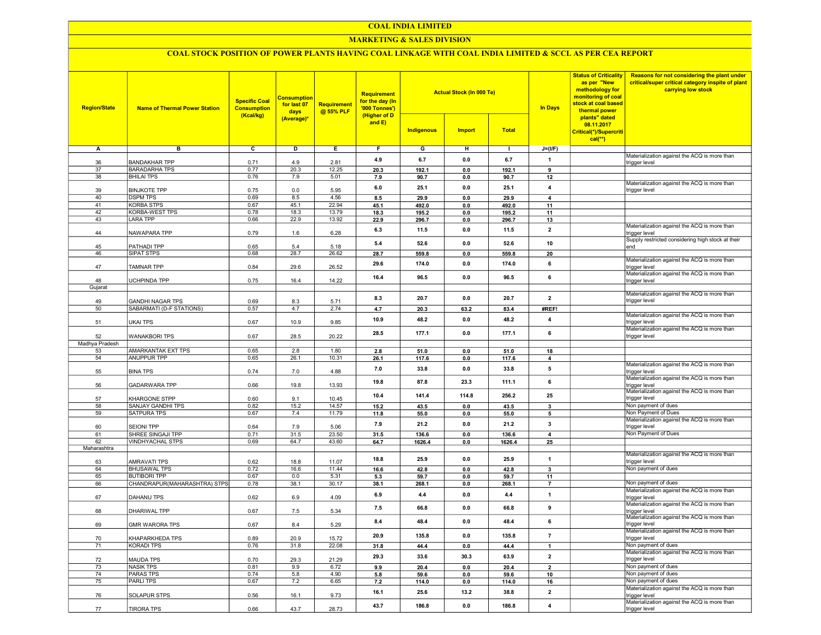#### COAL INDIA LIMITED

## MARKETING & SALES DIVISION

## COAL STOCK POSITION OF POWER PLANTS HAVING COAL LINKAGE WITH COAL INDIA LIMITED & SCCL AS PER CEA REPORT

| <b>Region/State</b> | <b>Name of Thermal Power Station</b>         | <b>Specific Coal</b><br><b>Consumption</b><br>(Kcal/kg) | <b>Consumption</b><br>for last 07<br>days<br>(Average)* | <b>Requirement</b><br>@ 55% PLF | <b>Requirement</b><br>for the day (In<br>'000 Tonnes')<br>(Higher of D<br>and E) | <b>Indigenous</b> | <b>Actual Stock (In 000 Te)</b><br><b>Import</b> | <b>Total</b>   | <b>In Days</b> | <b>Status of Criticality</b><br>as per "New<br>methodology for<br>monitoring of coal<br>stock at coal based<br>thermal power<br>plants" dated<br>08.11.2017<br>Critical(*)/Supercriti<br>$cal$ <sup>**</sup> ) | Reasons for not considering the plant under<br>critical/super critical category inspite of plant<br>carrying low stock |
|---------------------|----------------------------------------------|---------------------------------------------------------|---------------------------------------------------------|---------------------------------|----------------------------------------------------------------------------------|-------------------|--------------------------------------------------|----------------|----------------|----------------------------------------------------------------------------------------------------------------------------------------------------------------------------------------------------------------|------------------------------------------------------------------------------------------------------------------------|
| Α                   | в                                            | $\overline{c}$                                          | D                                                       | Е.                              | F.                                                                               | G                 | н                                                | $\blacksquare$ | $J=(I/F)$      |                                                                                                                                                                                                                |                                                                                                                        |
|                     |                                              |                                                         |                                                         |                                 |                                                                                  |                   |                                                  |                |                |                                                                                                                                                                                                                | Materialization against the ACQ is more than                                                                           |
| 36                  | <b>BANDAKHAR TPP</b>                         | 0.71                                                    | 4.9                                                     | 2.81                            | 4.9                                                                              | 6.7               | 0.0                                              | 6.7            | $\mathbf{1}$   |                                                                                                                                                                                                                | trigger level                                                                                                          |
| 37                  | <b>BARADARHA TPS</b>                         | 0.77                                                    | 20.3                                                    | 12.25                           | 20.3                                                                             | 192.1             | 0.0                                              | 192.1          | 9              |                                                                                                                                                                                                                |                                                                                                                        |
| 38                  | <b>BHILAI TPS</b>                            | 0.76                                                    | 7.9                                                     | 5.01                            | 7.9                                                                              | 90.7              | 0.0                                              | 90.7           | 12             |                                                                                                                                                                                                                |                                                                                                                        |
| 39                  | <b>BINJKOTE TPP</b>                          | 0.75                                                    | 0.0                                                     | 5.95                            | 6.0                                                                              | 25.1              | 0.0                                              | 25.1           | $\overline{4}$ |                                                                                                                                                                                                                | Materialization against the ACQ is more than<br>trigger level                                                          |
| 40                  | <b>DSPM TPS</b>                              | 0.69                                                    | 8.5                                                     | 4.56                            | 8.5                                                                              | 29.9              | 0.0                                              | 29.9           | $\overline{4}$ |                                                                                                                                                                                                                |                                                                                                                        |
| 41                  | <b>KORBA STPS</b>                            | 0.67                                                    | 45.1                                                    | 22.94                           | 45.1                                                                             | 492.0             | 0.0                                              | 492.0          | 11             |                                                                                                                                                                                                                |                                                                                                                        |
| 42                  | KORBA-WEST TPS                               | 0.78                                                    | 18.3                                                    | 13.79                           | 18.3                                                                             | 195.2             | 0.0                                              | 195.2          | 11             |                                                                                                                                                                                                                |                                                                                                                        |
| 43                  | <b>LARA TPP</b>                              | 0.66                                                    | 22.9                                                    | 13.92                           | 22.9                                                                             | 296.7             | 0.0                                              | 296.7          | 13             |                                                                                                                                                                                                                |                                                                                                                        |
|                     |                                              |                                                         |                                                         |                                 | 6.3                                                                              | 11.5              | 0.0                                              | 11.5           | $\overline{2}$ |                                                                                                                                                                                                                | Materialization against the ACQ is more than                                                                           |
| 44                  | NAWAPARA TPP                                 | 0.79                                                    | 1.6                                                     | 6.28                            |                                                                                  |                   |                                                  |                |                |                                                                                                                                                                                                                | trigger level                                                                                                          |
| 45                  | PATHADI TPP                                  | 0.65                                                    | 5.4                                                     | 5.18                            | 5.4                                                                              | 52.6              | 0.0                                              | 52.6           | 10             |                                                                                                                                                                                                                | Supply restricted considering high stock at their<br>end                                                               |
| 46                  | SIPAT STPS                                   | 0.68                                                    | 28.7                                                    | 26.62                           | 28.7                                                                             | 559.8             | 0.0                                              | 559.8          | 20             |                                                                                                                                                                                                                |                                                                                                                        |
|                     |                                              |                                                         |                                                         |                                 | 29.6                                                                             | 174.0             | 0.0                                              | 174.0          | 6              |                                                                                                                                                                                                                | Materialization against the ACQ is more than                                                                           |
| 47                  | TAMNAR TPP                                   | 0.84                                                    | 29.6                                                    | 26.52                           |                                                                                  |                   |                                                  |                |                |                                                                                                                                                                                                                | trigger level                                                                                                          |
|                     |                                              |                                                         |                                                         |                                 | 16.4                                                                             | 96.5              | 0.0                                              | 96.5           | 6              |                                                                                                                                                                                                                | Materialization against the ACQ is more than                                                                           |
| 48<br>Gujarat       | <b>UCHPINDA TPP</b>                          | 0.75                                                    | 16.4                                                    | 14.22                           |                                                                                  |                   |                                                  |                |                |                                                                                                                                                                                                                | trigger level                                                                                                          |
|                     |                                              |                                                         |                                                         |                                 |                                                                                  |                   |                                                  |                |                |                                                                                                                                                                                                                | Materialization against the ACQ is more than                                                                           |
| 49                  | <b>GANDHI NAGAR TPS</b>                      | 0.69                                                    | 8.3                                                     | 5.71                            | 8.3                                                                              | 20.7              | 0.0                                              | 20.7           | $\overline{2}$ |                                                                                                                                                                                                                | trigger level                                                                                                          |
| 50                  | SABARMATI (D-F STATIONS)                     | 0.57                                                    | 4.7                                                     | 2.74                            | 4.7                                                                              | 20.3              | 63.2                                             | 83.4           | #REF!          |                                                                                                                                                                                                                |                                                                                                                        |
|                     |                                              |                                                         |                                                         |                                 | 10.9                                                                             | 48.2              | 0.0                                              | 48.2           | 4              |                                                                                                                                                                                                                | Materialization against the ACQ is more than                                                                           |
| 51                  | <b>UKAI TPS</b>                              | 0.67                                                    | 10.9                                                    | 9.85                            |                                                                                  |                   |                                                  |                |                |                                                                                                                                                                                                                | trigger level                                                                                                          |
| 52                  | <b>WANAKBORI TPS</b>                         | 0.67                                                    | 28.5                                                    | 20.22                           | 28.5                                                                             | 177.1             | 0.0                                              | 177.1          | 6              |                                                                                                                                                                                                                | Materialization against the ACQ is more than<br>trigger level                                                          |
| Madhya Pradesh      |                                              |                                                         |                                                         |                                 |                                                                                  |                   |                                                  |                |                |                                                                                                                                                                                                                |                                                                                                                        |
| 53                  | <b>AMARKANTAK EXT TPS</b>                    | 0.65                                                    | 2.8                                                     | 1.80                            | 2.8                                                                              | 51.0              | 0.0                                              | 51.0           | 18             |                                                                                                                                                                                                                |                                                                                                                        |
| 54                  | <b>ANUPPUR TPP</b>                           | 0.65                                                    | 26.1                                                    | 10.31                           | 26.1                                                                             | 117.6             | 0.0                                              | 117.6          | 4              |                                                                                                                                                                                                                |                                                                                                                        |
|                     |                                              |                                                         |                                                         |                                 | 7.0                                                                              | 33.8              | 0.0                                              | 33.8           | 5              |                                                                                                                                                                                                                | Materialization against the ACQ is more than                                                                           |
| 55                  | <b>BINA TPS</b>                              | 0.74                                                    | 7.0                                                     | 4.88                            |                                                                                  |                   |                                                  |                |                |                                                                                                                                                                                                                | trigger level                                                                                                          |
| 56                  | <b>GADARWARA TPP</b>                         | 0.66                                                    | 19.8                                                    | 13.93                           | 19.8                                                                             | 87.8              | 23.3                                             | 111.1          | 6              |                                                                                                                                                                                                                | Materialization against the ACQ is more than                                                                           |
|                     |                                              |                                                         |                                                         |                                 |                                                                                  |                   |                                                  |                |                |                                                                                                                                                                                                                | trigger level<br>Materialization against the ACQ is more than                                                          |
| 57                  | KHARGONE STPP                                | 0.60                                                    | 9.1                                                     | 10.45                           | 10.4                                                                             | 141.4             | 114.8                                            | 256.2          | 25             |                                                                                                                                                                                                                | trigger level                                                                                                          |
| 58                  | SANJAY GANDHI TPS                            | 0.82                                                    | 15.2                                                    | 14.57                           | 15.2                                                                             | 43.5              | 0.0                                              | 43.5           | 3              |                                                                                                                                                                                                                | Non payment of dues                                                                                                    |
| 59                  | SATPURA TPS                                  | 0.67                                                    | 7.4                                                     | 11.79                           | 11.8                                                                             | 55.0              | 0.0                                              | 55.0           | 5              |                                                                                                                                                                                                                | Non Payment of Dues                                                                                                    |
|                     |                                              |                                                         |                                                         |                                 | 7.9                                                                              | 21.2              | 0.0                                              | 21.2           | 3              |                                                                                                                                                                                                                | Materialization against the ACQ is more than                                                                           |
| 60                  | <b>SEIONI TPP</b>                            | 0.64                                                    | 7.9                                                     | 5.06                            |                                                                                  |                   |                                                  |                |                |                                                                                                                                                                                                                | trigger level                                                                                                          |
| 61<br>62            | SHREE SINGAJI TPP<br><b>VINDHYACHAL STPS</b> | 0.71                                                    | 31.5<br>64.7                                            | 23.50<br>43.60                  | 31.5                                                                             | 136.6             | 0.0                                              | 136.6          | 4              |                                                                                                                                                                                                                | Non Payment of Dues                                                                                                    |
| Maharashtra         |                                              | 0.69                                                    |                                                         |                                 | 64.7                                                                             | 1626.4            | 0.0                                              | 1626.4         | 25             |                                                                                                                                                                                                                |                                                                                                                        |
|                     |                                              |                                                         |                                                         |                                 |                                                                                  |                   |                                                  |                |                |                                                                                                                                                                                                                | Materialization against the ACQ is more than                                                                           |
| 63                  | <b>AMRAVATI TPS</b>                          | 0.62                                                    | 18.8                                                    | 11.07                           | 18.8                                                                             | 25.9              | 0.0                                              | 25.9           | $\overline{1}$ |                                                                                                                                                                                                                | trigger level                                                                                                          |
| 64                  | <b>BHUSAWAL TPS</b>                          | 0.72                                                    | 16.6                                                    | 11.44                           | 16.6                                                                             | 42.8              | 0.0                                              | 42.8           | $\mathbf{3}$   |                                                                                                                                                                                                                | Non payment of dues                                                                                                    |
| 65                  | <b>BUTIBORI TPP</b>                          | 0.67                                                    | 0.0                                                     | 5.31                            | 5.3                                                                              | 59.7              | 0.0                                              | 59.7           | 11             |                                                                                                                                                                                                                |                                                                                                                        |
| 66                  | CHANDRAPUR(MAHARASHTRA) STPS                 | 0.78                                                    | 38.1                                                    | 30.17                           | 38.1                                                                             | 268.1             | 0.0                                              | 268.1          | $\overline{7}$ |                                                                                                                                                                                                                | Non payment of dues                                                                                                    |
| 67                  | DAHANU TPS                                   | 0.62                                                    | 6.9                                                     | 4.09                            | 6.9                                                                              | 4.4               | 0.0                                              | 4.4            | $\mathbf{1}$   |                                                                                                                                                                                                                | Materialization against the ACQ is more than<br>trigger level                                                          |
|                     |                                              |                                                         |                                                         |                                 |                                                                                  |                   |                                                  |                |                |                                                                                                                                                                                                                | Materialization against the ACQ is more than                                                                           |
| 68                  | DHARIWAL TPP                                 | 0.67                                                    | 7.5                                                     | 5.34                            | 7.5                                                                              | 66.8              | 0.0                                              | 66.8           | 9              |                                                                                                                                                                                                                | trigger level                                                                                                          |
|                     |                                              |                                                         |                                                         |                                 | 8.4                                                                              | 48.4              | 0.0                                              | 48.4           | 6              |                                                                                                                                                                                                                | Materialization against the ACQ is more than                                                                           |
| 69                  | <b>GMR WARORA TPS</b>                        | 0.67                                                    | 8.4                                                     | 5.29                            |                                                                                  |                   |                                                  |                |                |                                                                                                                                                                                                                | trigger level                                                                                                          |
| 70                  | KHAPARKHEDA TPS                              | 0.89                                                    | 20.9                                                    | 15.72                           | 20.9                                                                             | 135.8             | $\mathbf{0.0}$                                   | 135.8          | $\overline{7}$ |                                                                                                                                                                                                                | Materialization against the ACQ is more than<br>trigger level                                                          |
| 71                  | KORADI TPS                                   | 0.76                                                    | 31.8                                                    | 22.08                           | 31.8                                                                             | 44.4              | $\mathbf{0.0}$                                   | 44.4           | $\mathbf{1}$   |                                                                                                                                                                                                                | Non payment of dues                                                                                                    |
|                     |                                              |                                                         |                                                         |                                 |                                                                                  |                   |                                                  |                |                |                                                                                                                                                                                                                | Materialization against the ACQ is more than                                                                           |
| 72                  | <b>MAUDA TPS</b>                             | 0.70                                                    | 29.3                                                    | 21.29                           | 29.3                                                                             | 33.6              | 30.3                                             | 63.9           | $\mathbf{2}$   |                                                                                                                                                                                                                | trigger level                                                                                                          |
| 73                  | <b>NASIK TPS</b>                             | 0.81                                                    | 9.9                                                     | 6.72                            | 9.9                                                                              | 20.4              | 0.0                                              | 20.4           | $\overline{2}$ |                                                                                                                                                                                                                | Non payment of dues                                                                                                    |
| 74                  | <b>PARAS TPS</b>                             | 0.74                                                    | 5.8                                                     | 4.90                            | 5.8                                                                              | 59.6              | 0.0                                              | 59.6           | 10             |                                                                                                                                                                                                                | Non payment of dues                                                                                                    |
| 75                  | <b>PARLITPS</b>                              | 0.67                                                    | 7.2                                                     | 6.65                            | 7.2                                                                              | 114.0             | 0.0                                              | 114.0          | 16             |                                                                                                                                                                                                                | Non payment of dues                                                                                                    |
|                     |                                              |                                                         |                                                         |                                 | 16.1                                                                             | 25.6              | 13.2                                             | 38.8           | $\mathbf{2}$   |                                                                                                                                                                                                                | Materialization against the ACQ is more than                                                                           |
| 76                  | SOLAPUR STPS                                 | 0.56                                                    | 16.1                                                    | 9.73                            |                                                                                  |                   |                                                  |                |                |                                                                                                                                                                                                                | trigger level<br>Materialization against the ACQ is more than                                                          |
| 77                  | TIRORA TPS                                   | 0.66                                                    | 43.7                                                    | 28.73                           | 43.7                                                                             | 186.8             | 0.0                                              | 186.8          | 4              |                                                                                                                                                                                                                | trigger level                                                                                                          |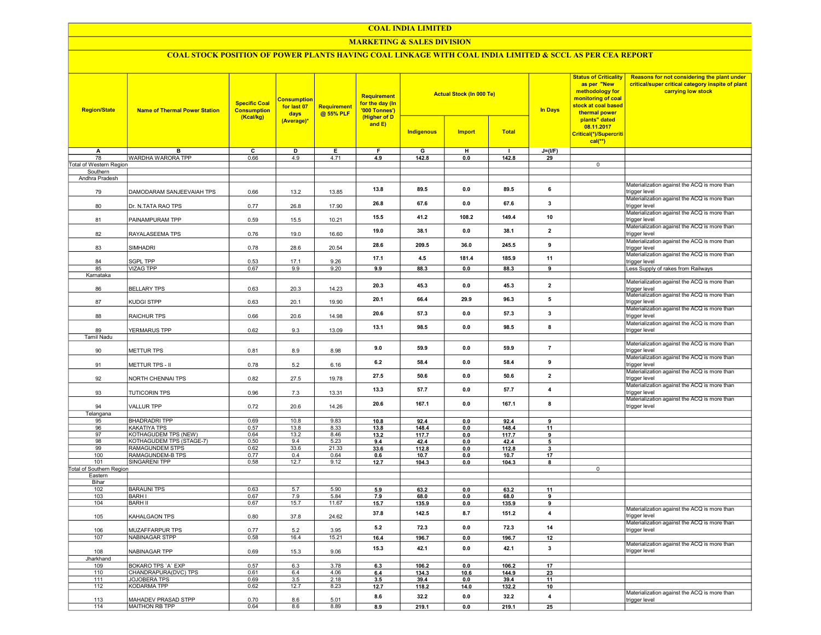#### COAL INDIA LIMITED

## MARKETING & SALES DIVISION

# COAL STOCK POSITION OF POWER PLANTS HAVING COAL LINKAGE WITH COAL INDIA LIMITED & SCCL AS PER CEA REPORT

| <b>Region/State</b>           | <b>Name of Thermal Power Station</b>        | <b>Specific Coal</b><br><b>Consumption</b><br>(Kcal/kg) | <b>Consumption</b><br>for last 07<br>days | Requirement<br>@ 55% PLF | Requirement<br>for the day (In<br>'000 Tonnes')<br>(Higher of D |               | <b>Actual Stock (In 000 Te)</b> |                | In Days                 | <b>Status of Criticality</b><br>as per "New<br>methodology for<br>monitoring of coal<br>stock at coal based<br>thermal power | Reasons for not considering the plant under<br>critical/super critical category inspite of plant<br>carrying low stock |
|-------------------------------|---------------------------------------------|---------------------------------------------------------|-------------------------------------------|--------------------------|-----------------------------------------------------------------|---------------|---------------------------------|----------------|-------------------------|------------------------------------------------------------------------------------------------------------------------------|------------------------------------------------------------------------------------------------------------------------|
|                               |                                             |                                                         | (Average)*                                |                          | and E)                                                          | Indigenous    | <b>Import</b>                   | <b>Total</b>   |                         | plants" dated<br>08.11.2017<br>Critical(*)/Supercriti<br>$cal(**)$                                                           |                                                                                                                        |
| A                             | B                                           | $\overline{\mathsf{c}}$                                 | D                                         | E                        | F                                                               | G             | H                               | $\blacksquare$ | $J=(UF)$                |                                                                                                                              |                                                                                                                        |
| 78<br>Total of Western Region | WARDHA WARORA TPP                           | 0.66                                                    | 4.9                                       | 4.71                     | 4.9                                                             | 142.8         | 0.0                             | 142.8          | 29                      | $\overline{0}$                                                                                                               |                                                                                                                        |
| Southern                      |                                             |                                                         |                                           |                          |                                                                 |               |                                 |                |                         |                                                                                                                              |                                                                                                                        |
| Andhra Pradesh                |                                             |                                                         |                                           |                          |                                                                 |               |                                 |                |                         |                                                                                                                              |                                                                                                                        |
| 79                            | DAMODARAM SANJEEVAIAH TPS                   | 0.66                                                    | 13.2                                      | 13.85                    | 13.8                                                            | 89.5          | 0.0                             | 89.5           | 6                       |                                                                                                                              | Materialization against the ACQ is more than<br>trigger level                                                          |
| 80                            | Dr. N.TATA RAO TPS                          | 0.77                                                    | 26.8                                      | 17.90                    | 26.8                                                            | 67.6          | 0.0                             | 67.6           | $\overline{\mathbf{3}}$ |                                                                                                                              | Materialization against the ACQ is more than<br>trigger level                                                          |
| 81                            | PAINAMPURAM TPP                             | 0.59                                                    | 15.5                                      | 10.21                    | 15.5                                                            | 41.2          | 108.2                           | 149.4          | 10                      |                                                                                                                              | Materialization against the ACQ is more than<br>trigger level                                                          |
| 82                            | RAYALASEEMA TPS                             | 0.76                                                    | 19.0                                      | 16.60                    | 19.0                                                            | 38.1          | 0.0                             | 38.1           | $\overline{2}$          |                                                                                                                              | Materialization against the ACQ is more than<br>trigger level                                                          |
| 83                            | <b>SIMHADRI</b>                             | 0.78                                                    | 28.6                                      | 20.54                    | 28.6                                                            | 209.5         | 36.0                            | 245.5          | 9                       |                                                                                                                              | Materialization against the ACQ is more than<br>trigger level                                                          |
| 84                            | SGPL TPP                                    | 0.53                                                    | 17.1                                      | 9.26                     | 17.1                                                            | 4.5           | 181.4                           | 185.9          | 11                      |                                                                                                                              | Materialization against the ACQ is more than<br>trigger level                                                          |
| 85                            | <b>VIZAG TPP</b>                            | 0.67                                                    | 9.9                                       | 9.20                     | 9.9                                                             | 88.3          | 0.0                             | 88.3           | 9                       |                                                                                                                              | Less Supply of rakes from Railways                                                                                     |
| Karnataka<br>86               | <b>BELLARY TPS</b>                          |                                                         | 20.3                                      | 14.23                    | 20.3                                                            | 45.3          | 0.0                             | 45.3           | $\overline{\mathbf{2}}$ |                                                                                                                              | Materialization against the ACQ is more than                                                                           |
| 87                            | KUDGI STPP                                  | 0.63<br>0.63                                            | 20.1                                      | 19.90                    | 20.1                                                            | 66.4          | 29.9                            | 96.3           | 5                       |                                                                                                                              | trigger level<br>Materialization against the ACQ is more than<br>trigger level                                         |
| 88                            | RAICHUR TPS                                 | 0.66                                                    | 20.6                                      | 14.98                    | 20.6                                                            | 573           | 0.0                             | 57.3           | $\overline{\mathbf{3}}$ |                                                                                                                              | Materialization against the ACQ is more than<br>trigger level                                                          |
| 89                            | YERMARUS TPP                                | 0.62                                                    | 9.3                                       | 13.09                    | 13.1                                                            | 98.5          | 0.0                             | 98.5           | 8                       |                                                                                                                              | Materialization against the ACQ is more than<br>trigger level                                                          |
| <b>Tamil Nadu</b>             |                                             |                                                         |                                           |                          |                                                                 |               |                                 |                |                         |                                                                                                                              |                                                                                                                        |
| 90                            | METTUR TPS                                  | 0.81                                                    | 8.9                                       | 8.98                     | 9.0                                                             | 59.9          | 0.0                             | 59.9           | $\bf 7$                 |                                                                                                                              | Materialization against the ACQ is more than<br>trigger level                                                          |
| 91                            | METTUR TPS - II                             | 0.78                                                    | 5.2                                       | 6.16                     | 6.2                                                             | 58.4          | 0.0                             | 58.4           | 9                       |                                                                                                                              | Materialization against the ACQ is more than<br>trigger level                                                          |
| 92                            | NORTH CHENNAI TPS                           | 0.82                                                    | 27.5                                      | 19.78                    | 27.5                                                            | 50.6          | 0.0                             | 50.6           | $\overline{\mathbf{2}}$ |                                                                                                                              | Materialization against the ACQ is more than<br>trigger level                                                          |
| 93                            | <b>TUTICORIN TPS</b>                        | 0.96                                                    | 7.3                                       | 13.31                    | 13.3                                                            | 57.7          | 0.0                             | 57.7           | 4                       |                                                                                                                              | Materialization against the ACQ is more than<br>trigger level                                                          |
| 94                            | <b>VALLUR TPP</b>                           | 0.72                                                    | 20.6                                      | 14.26                    | 20.6                                                            | 167.1         | 0.0                             | 167.1          | 8                       |                                                                                                                              | Materialization against the ACQ is more than<br>trigger level                                                          |
| Telangana                     | <b>BHADRADRI TPP</b>                        | 0.69                                                    | 10.8                                      | 9.83                     |                                                                 |               |                                 |                | 9                       |                                                                                                                              |                                                                                                                        |
| 95<br>96                      | KAKATIYA TPS                                | 0.57                                                    | 13.8                                      | 8.33                     | 10.8<br>13.8                                                    | 92.4<br>148.4 | 0.0<br>0.0                      | 92.4<br>148.4  | 11                      |                                                                                                                              |                                                                                                                        |
| 97                            | <b>KOTHAGUDEM TPS (NEW)</b>                 | 0.64                                                    | 13.2                                      | 8.46                     | 13.2                                                            | 117.7         | 0.0                             | 117.7          | 9                       |                                                                                                                              |                                                                                                                        |
| 98                            | KOTHAGUDEM TPS (STAGE-7)                    | 0.50                                                    | 9.4                                       | 5.23                     | 9.4                                                             | 42.4          | 0.0                             | 42.4           | 5                       |                                                                                                                              |                                                                                                                        |
| 99                            | RAMAGUNDEM STPS                             | 0.62                                                    | 33.6                                      | 21.33                    | 33.6                                                            | 112.8         | 0.0                             | 112.8          | 3                       |                                                                                                                              |                                                                                                                        |
| 100                           | RAMAGUNDEM-B TPS                            | 0.77                                                    | 0.4                                       | 0.64                     | 0.6                                                             | 10.7          | 0.0                             | 10.7           | 17                      |                                                                                                                              |                                                                                                                        |
| 101                           | <b>SINGARENI TPP</b>                        | 0.58                                                    | 12.7                                      | 9.12                     | 12.7                                                            | 104.3         | 0.0                             | 104.3          | 8                       |                                                                                                                              |                                                                                                                        |
| Total of Southern Region      |                                             |                                                         |                                           |                          |                                                                 |               |                                 |                |                         | $\overline{0}$                                                                                                               |                                                                                                                        |
| Eastern<br>Bihar              |                                             |                                                         |                                           |                          |                                                                 |               |                                 |                |                         |                                                                                                                              |                                                                                                                        |
| 102                           | <b>BARAUNI TPS</b>                          | 0.63                                                    | 5.7                                       | 5.90                     | 5.9                                                             | 63.2          | 0.0                             | 63.2           | 11                      |                                                                                                                              |                                                                                                                        |
| 103                           | BARH I                                      | 0.67                                                    | 7.9                                       | 5.84                     | 7.9                                                             | 68.0          | 0.0                             | 68.0           | 9                       |                                                                                                                              |                                                                                                                        |
| 104                           | <b>BARH II</b>                              | 0.67                                                    | 15.7                                      | 11.67                    | 15.7                                                            | 135.9         | 0.0                             | 135.9          | 9                       |                                                                                                                              |                                                                                                                        |
| 105                           | KAHALGAON TPS                               | 0.80                                                    | 37.8                                      | 24.62                    | 37.8                                                            | 142.5         | 8.7                             | 151.2          | $\overline{\mathbf{4}}$ |                                                                                                                              | Materialization against the ACQ is more than<br>trigger level                                                          |
| 106                           | MUZAFFARPUR TPS                             | 0.77                                                    | 5.2                                       | 3.95                     | 5.2                                                             | 72.3          | 0.0                             | 72.3           | 14                      |                                                                                                                              | Materialization against the ACQ is more than<br>trigger level                                                          |
| 107                           | <b>NABINAGAR STPP</b>                       | 0.58                                                    | 16.4                                      | 15.21                    | 16.4                                                            | 196.7         | $0.0\,$                         | 196.7          | 12                      |                                                                                                                              |                                                                                                                        |
| 108                           | NABINAGAR TPP                               | 0.69                                                    | 15.3                                      | 9.06                     | 15.3                                                            | 42.1          | 0.0                             | 42.1           | 3                       |                                                                                                                              | Materialization against the ACQ is more than<br>trigger level                                                          |
| Jharkhand                     |                                             |                                                         |                                           |                          |                                                                 |               |                                 |                |                         |                                                                                                                              |                                                                                                                        |
| 109                           | BOKARO TPS 'A' EXP                          | 0.57                                                    | 6.3                                       | 3.78                     | 6.3                                                             | 106.2         | 0.0                             | 106.2          | 17                      |                                                                                                                              |                                                                                                                        |
| 110<br>111                    | CHANDRAPURA(DVC) TPS<br><b>JOJOBERA TPS</b> | 0.61<br>0.69                                            | 6.4<br>3.5                                | 4.06<br>2.18             | 6.4                                                             | 134.3         | 10.6                            | 144.9          | 23                      |                                                                                                                              |                                                                                                                        |
| 112                           | <b>KODARMA TPP</b>                          | 0.62                                                    | 12.7                                      | 8.23                     | 3.5<br>12.7                                                     | 39.4<br>118.2 | 0.0<br>14.0                     | 39.4<br>132.2  | 11<br>10                |                                                                                                                              |                                                                                                                        |
| 113                           | MAHADEV PRASAD STPP                         | 0.70                                                    | 8.6                                       | 5.01                     | 8.6                                                             | 32.2          | 0.0                             | 32.2           | 4                       |                                                                                                                              | Materialization against the ACQ is more than<br>trigger level                                                          |
| 114                           | MAITHON RB TPP                              | 0.64                                                    | 8.6                                       | 8.89                     | 8.9                                                             | 219.1         | 0.0                             | 219.1          | 25                      |                                                                                                                              |                                                                                                                        |